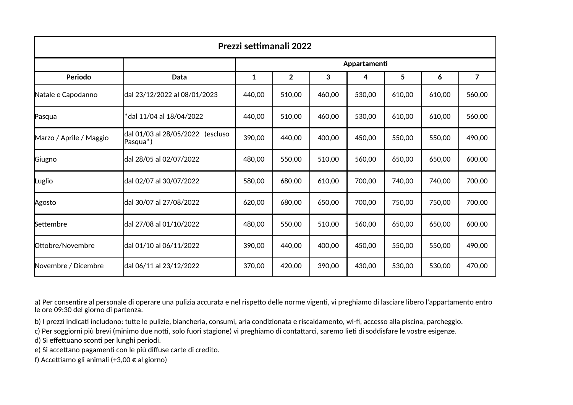| Prezzi settimanali 2022 |                                                           |              |                |        |        |        |        |                |  |  |  |
|-------------------------|-----------------------------------------------------------|--------------|----------------|--------|--------|--------|--------|----------------|--|--|--|
|                         |                                                           | Appartamenti |                |        |        |        |        |                |  |  |  |
| Periodo                 | Data                                                      | 1            | $\overline{2}$ | 3      | 4      | 5      | 6      | $\overline{7}$ |  |  |  |
| Natale e Capodanno      | dal 23/12/2022 al 08/01/2023                              | 440,00       | 510,00         | 460,00 | 530,00 | 610,00 | 610,00 | 560,00         |  |  |  |
| Pasqua                  | dal 11/04 al 18/04/2022                                   | 440,00       | 510,00         | 460,00 | 530,00 | 610,00 | 610,00 | 560,00         |  |  |  |
| Marzo / Aprile / Maggio | dal 01/03 al 28/05/2022 (escluso<br>Pasqua <sup>*</sup> ) | 390,00       | 440,00         | 400,00 | 450,00 | 550,00 | 550,00 | 490,00         |  |  |  |
| Giugno                  | dal 28/05 al 02/07/2022                                   | 480,00       | 550,00         | 510,00 | 560,00 | 650,00 | 650,00 | 600,00         |  |  |  |
| Luglio                  | dal 02/07 al 30/07/2022                                   | 580,00       | 680,00         | 610,00 | 700,00 | 740,00 | 740,00 | 700,00         |  |  |  |
| Agosto                  | dal 30/07 al 27/08/2022                                   | 620,00       | 680,00         | 650,00 | 700,00 | 750,00 | 750,00 | 700,00         |  |  |  |
| Settembre               | dal 27/08 al 01/10/2022                                   | 480,00       | 550,00         | 510,00 | 560,00 | 650,00 | 650,00 | 600,00         |  |  |  |
| Ottobre/Novembre        | dal 01/10 al 06/11/2022                                   | 390,00       | 440,00         | 400,00 | 450,00 | 550,00 | 550,00 | 490,00         |  |  |  |
| Novembre / Dicembre     | dal 06/11 al 23/12/2022                                   | 370,00       | 420,00         | 390,00 | 430,00 | 530,00 | 530,00 | 470,00         |  |  |  |

a) Per consentire al personale di operare una pulizia accurata e nel rispetto delle norme vigenti, vi preghiamo di lasciare libero l'appartamento entro le ore 09:30 del giorno di partenza.

b) I prezzi indicati includono: tutte le pulizie, biancheria, consumi, aria condizionata e riscaldamento, wi-fi, accesso alla piscina, parcheggio.

c) Per soggiorni più brevi (minimo due notti, solo fuori stagione) vi preghiamo di contattarci, saremo lieti di soddisfare le vostre esigenze.

d) Si effettuano sconti per lunghi periodi.

e) Si accettano pagamenti con le più diffuse carte di credito.

f) Accettiamo gli animali (+3,00  $\epsilon$  al giorno)